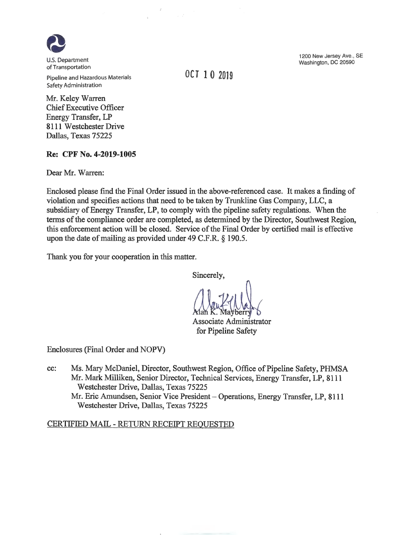

Pipeline and Hazardous Materials Safety Administration

Mr. Kelcy Warren Chief Executive Officer Energy Transfer, LP 8111 Westchester Drive Dallas, Texas *75225*

## **Re: CPF No. 4-2019-1005**

Dear Mr. Warren:

Enclosed please find the Final Order issued in the above-referenced case. It makes a finding of violation and specifies actions that need to be taken by Trunkline Gas Company, LLC, a subsidiary of Energy Transfer, LP, to comply with the pipeline safety regulations. When the terms of the compliance order are completed, as determined by the Director, Southwest Region, this enforcement action will be closed. Service of the Final Order by certified mail is effective upon the date of mailing as provided under 49 C.F.R. § 190.5.

Thank you for your cooperation in this matter.

Sincerely,

Associate Administrator for Pipeline Safety

Enclosures (Final Order and NOPV)

cc: Ms. Mary McDaniel, Director, Southwest Region, Office of Pipeline Safety, PHMSA Mr. Mark Milliken, Senior Director, Technical Services, Energy Transfer, LP, 8111 Westchester Drive, Dallas, Texas 75225 westchester Drive, Danas, 1 exas 13223<br>Mr. Eric Amundsen, Senior Vice President – Operations, Energy Transfer, LP, 8111 Westchester Drive, Dallas, Texas 75225

## CERTIFIED MAIL - RETURN RECEIPT REQUESTED

1200 New Jersey Ave., SE Washington, DC 20590

OCT10 <sup>2019</sup>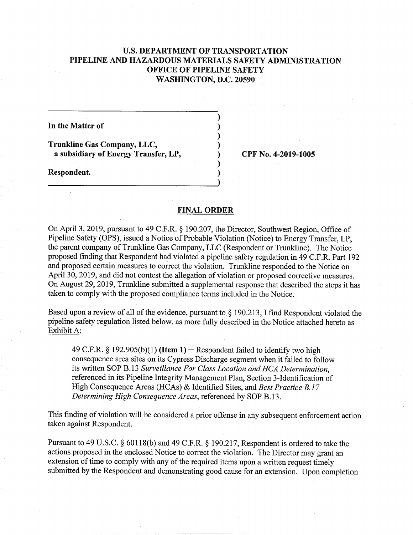## **U.S. DEPARTMENT OF TRANSPORTATION PIPELINE AND HAZARDOUS MATERIALS SAFETY ADMINISTRATION OFFICE OF PIPELINE SAFETY WASHINGTON, D.C. 20590**

)

)

)

**In the Matter of** )

**Trunkline Gas Company, LLC,** ) **a subsidiary of Energy Transfer, LP,** ) **CPF No. 4-2019-1005** 

**Respondent.** )

## **FINAL ORDER**

**On** April 3, 2019, pursuant to 49 C.F.R. § 190.207, the Director, Southwest Region, Office of Pipeline Safety (OPS), issued a Notice of Probable Violation (Notice) to Energy Transfer, LP, the parent company of Trunkline Gas Company, LLC (Respondent or Trunkline). The Notice proposed finding that Respondent had violated a pipeline safety regulation in 49 C.F.R. Part 192 and proposed certain measures to correct the violation. Trunkline responded to the Notice on April 30, 2019, and did not contest the allegation of violation or proposed corrective measures. On August 29, 2019, Trunkline submitted a supplemental response that described the steps it has taken to comply with the proposed compliance terms included in the Notice.

Based upon a review of all of the evidence, pursuant to § 190.213, I find Respondent violated the pipeline safety regulation listed below, as more fully described in the Notice attached hereto as Exhibit A:

49 C.F.R. § 192.905(b)(1) (Item 1) – Respondent failed to identify two high consequence area sites on its Cypress Discharge segment when it failed to follow *its written SOP B. 13 Surveillance For Class Location and HCA Determination,*  referenced in its Pipeline Integrity Management Plan, Section 3 -Identification of High Consequence Areas (HCAs) & Identified Sites, and *Best Practice B. 17 Determining High Consequence Areas,* referenced by SOP B.13.

This finding of violation will be considered a prior offense in any subsequent enforcement action taken against Respondent.

Pursuant to 49 U.S.C. § 60118(b) and 49 C.F.R. § 190.217, Respondent is ordered to take the actions proposed in the enclosed Notice to correct the violation. The Director may grant an extension of time to comply with any of the required items upon a written request timely submitted by the Respondent and demonstrating good cause for an extension. Upon completion